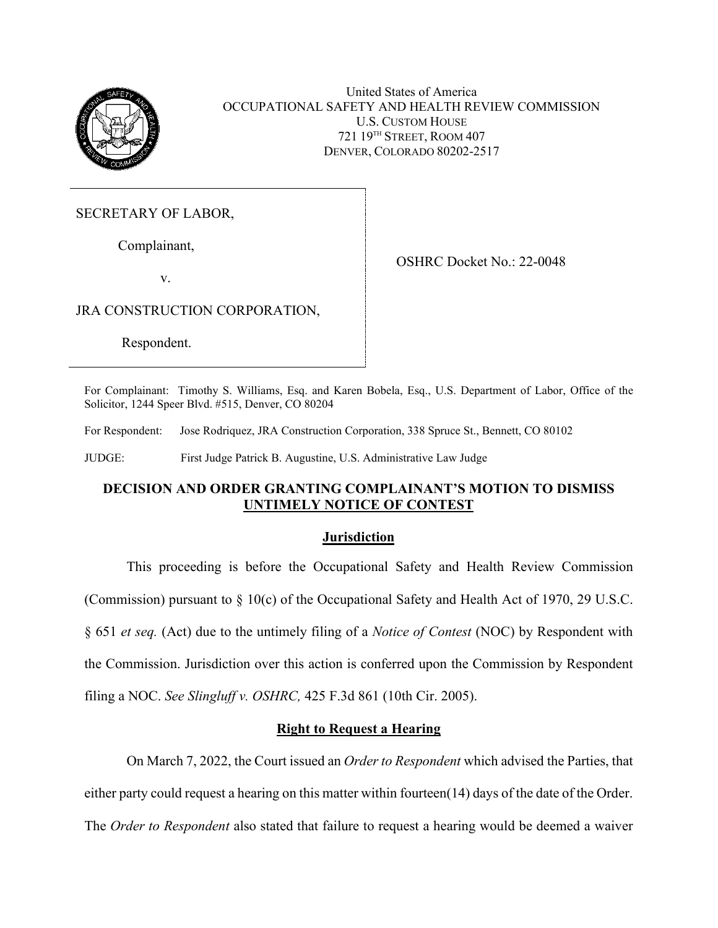

United States of America OCCUPATIONAL SAFETY AND HEALTH REVIEW COMMISSION U.S. CUSTOM HOUSE 721 19TH STREET, ROOM 407 DENVER, COLORADO 80202-2517

SECRETARY OF LABOR,

Complainant,

v.

OSHRC Docket No.: 22-0048

JRA CONSTRUCTION CORPORATION,

Respondent.

For Complainant: Timothy S. Williams, Esq. and Karen Bobela, Esq., U.S. Department of Labor, Office of the Solicitor, 1244 Speer Blvd. #515, Denver, CO 80204

For Respondent: Jose Rodriquez, JRA Construction Corporation, 338 Spruce St., Bennett, CO 80102

JUDGE: First Judge Patrick B. Augustine, U.S. Administrative Law Judge

# **DECISION AND ORDER GRANTING COMPLAINANT'S MOTION TO DISMISS UNTIMELY NOTICE OF CONTEST**

# **Jurisdiction**

This proceeding is before the Occupational Safety and Health Review Commission (Commission) pursuant to § 10(c) of the Occupational Safety and Health Act of 1970, 29 U.S.C. § 651 *et seq.* (Act) due to the untimely filing of a *Notice of Contest* (NOC) by Respondent with the Commission. Jurisdiction over this action is conferred upon the Commission by Respondent filing a NOC. *See Slingluff v. OSHRC,* 425 F.3d 861 (10th Cir. 2005).

# **Right to Request a Hearing**

On March 7, 2022, the Court issued an *Order to Respondent* which advised the Parties, that either party could request a hearing on this matter within fourteen(14) days of the date of the Order. The *Order to Respondent* also stated that failure to request a hearing would be deemed a waiver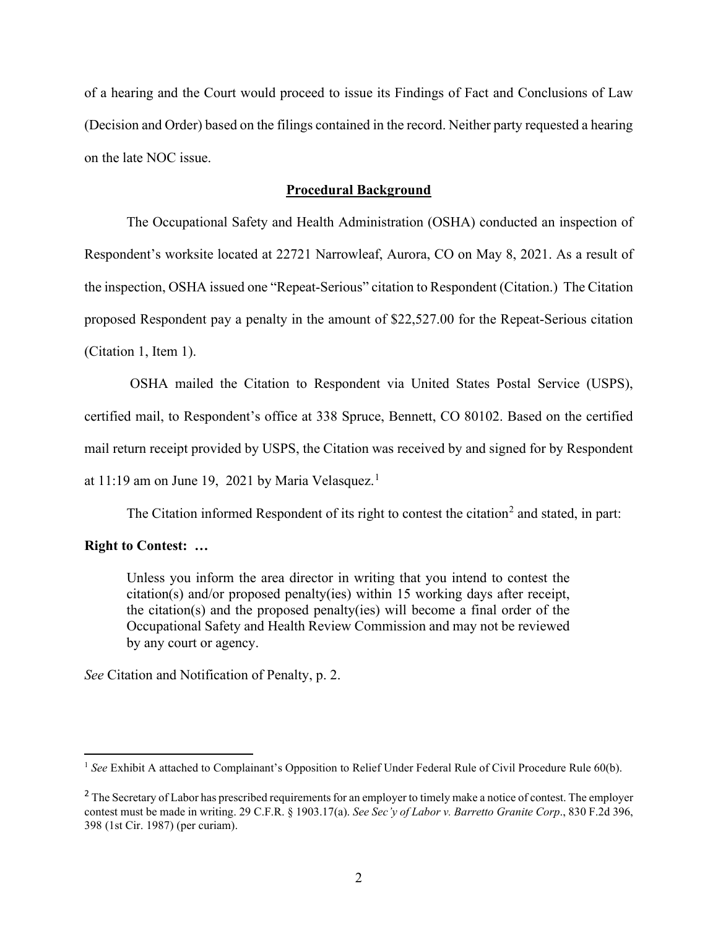of a hearing and the Court would proceed to issue its Findings of Fact and Conclusions of Law (Decision and Order) based on the filings contained in the record. Neither party requested a hearing on the late NOC issue.

### **Procedural Background**

The Occupational Safety and Health Administration (OSHA) conducted an inspection of Respondent's worksite located at 22721 Narrowleaf, Aurora, CO on May 8, 2021. As a result of the inspection, OSHA issued one "Repeat-Serious" citation to Respondent (Citation.) The Citation proposed Respondent pay a penalty in the amount of \$22,527.00 for the Repeat-Serious citation (Citation 1, Item 1).

OSHA mailed the Citation to Respondent via United States Postal Service (USPS), certified mail, to Respondent's office at 338 Spruce, Bennett, CO 80102. Based on the certified mail return receipt provided by USPS, the Citation was received by and signed for by Respondent at 11:19 am on June 19, 2021 by Maria Velasquez.<sup>1</sup>

The Citation informed Respondent of its right to contest the citation<sup>2</sup> and stated, in part:

## **Right to Contest: …**

Unless you inform the area director in writing that you intend to contest the citation(s) and/or proposed penalty(ies) within 15 working days after receipt, the citation(s) and the proposed penalty(ies) will become a final order of the Occupational Safety and Health Review Commission and may not be reviewed by any court or agency.

*See* Citation and Notification of Penalty, p. 2.

<sup>&</sup>lt;sup>1</sup> See Exhibit A attached to Complainant's Opposition to Relief Under Federal Rule of Civil Procedure Rule 60(b).

<sup>&</sup>lt;sup>2</sup> The Secretary of Labor has prescribed requirements for an employer to timely make a notice of contest. The employer contest must be made in writing. 29 C.F.R. § 1903.17(a). *See Sec'y of Labor v. Barretto Granite Corp*., 830 F.2d 396, 398 (1st Cir. 1987) (per curiam).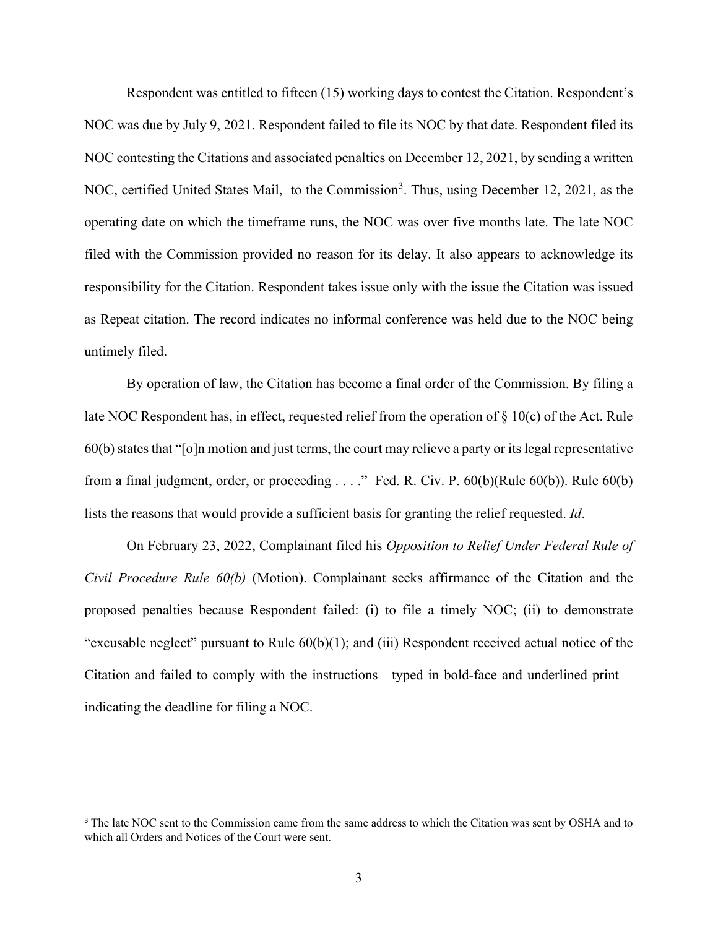Respondent was entitled to fifteen (15) working days to contest the Citation. Respondent's NOC was due by July 9, 2021. Respondent failed to file its NOC by that date. Respondent filed its NOC contesting the Citations and associated penalties on December 12, 2021, by sending a written NOC, certified United States Mail, to the Commission<sup>3</sup>. Thus, using December 12, 2021, as the operating date on which the timeframe runs, the NOC was over five months late. The late NOC filed with the Commission provided no reason for its delay. It also appears to acknowledge its responsibility for the Citation. Respondent takes issue only with the issue the Citation was issued as Repeat citation. The record indicates no informal conference was held due to the NOC being untimely filed.

By operation of law, the Citation has become a final order of the Commission. By filing a late NOC Respondent has, in effect, requested relief from the operation of § 10(c) of the Act. Rule 60(b) states that "[o]n motion and just terms, the court may relieve a party or its legal representative from a final judgment, order, or proceeding . . . ." Fed. R. Civ. P. 60(b)(Rule 60(b)). Rule 60(b) lists the reasons that would provide a sufficient basis for granting the relief requested. *Id*.

On February 23, 2022, Complainant filed his *Opposition to Relief Under Federal Rule of Civil Procedure Rule 60(b)* (Motion). Complainant seeks affirmance of the Citation and the proposed penalties because Respondent failed: (i) to file a timely NOC; (ii) to demonstrate "excusable neglect" pursuant to Rule 60(b)(1); and (iii) Respondent received actual notice of the Citation and failed to comply with the instructions—typed in bold-face and underlined print indicating the deadline for filing a NOC.

<sup>&</sup>lt;sup>3</sup> The late NOC sent to the Commission came from the same address to which the Citation was sent by OSHA and to which all Orders and Notices of the Court were sent.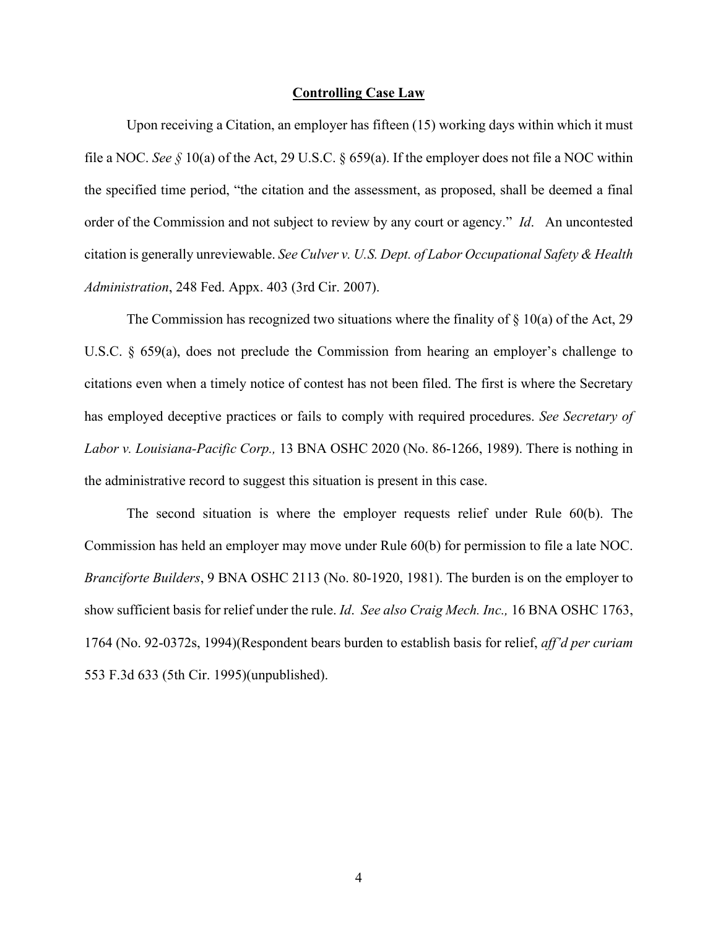#### **Controlling Case Law**

Upon receiving a Citation, an employer has fifteen (15) working days within which it must file a NOC. *See §* 10(a) of the Act, 29 U.S.C. § 659(a). If the employer does not file a NOC within the specified time period, "the citation and the assessment, as proposed, shall be deemed a final order of the Commission and not subject to review by any court or agency." *Id*. An uncontested citation is generally unreviewable. *See Culver v. U.S. Dept. of Labor Occupational Safety & Health Administration*, 248 Fed. Appx. 403 (3rd Cir. 2007).

The Commission has recognized two situations where the finality of  $\S$  10(a) of the Act, 29 U.S.C. § 659(a), does not preclude the Commission from hearing an employer's challenge to citations even when a timely notice of contest has not been filed. The first is where the Secretary has employed deceptive practices or fails to comply with required procedures. *See Secretary of Labor v. Louisiana-Pacific Corp.,* 13 BNA OSHC 2020 (No. 86-1266, 1989). There is nothing in the administrative record to suggest this situation is present in this case.

The second situation is where the employer requests relief under Rule 60(b). The Commission has held an employer may move under Rule 60(b) for permission to file a late NOC. *Branciforte Builders*, 9 BNA OSHC 2113 (No. 80-1920, 1981). The burden is on the employer to show sufficient basis for relief under the rule. *Id*. *See also Craig Mech. Inc.,* 16 BNA OSHC 1763, 1764 (No. 92-0372s, 1994)(Respondent bears burden to establish basis for relief, *aff'd per curiam* 553 F.3d 633 (5th Cir. 1995)(unpublished).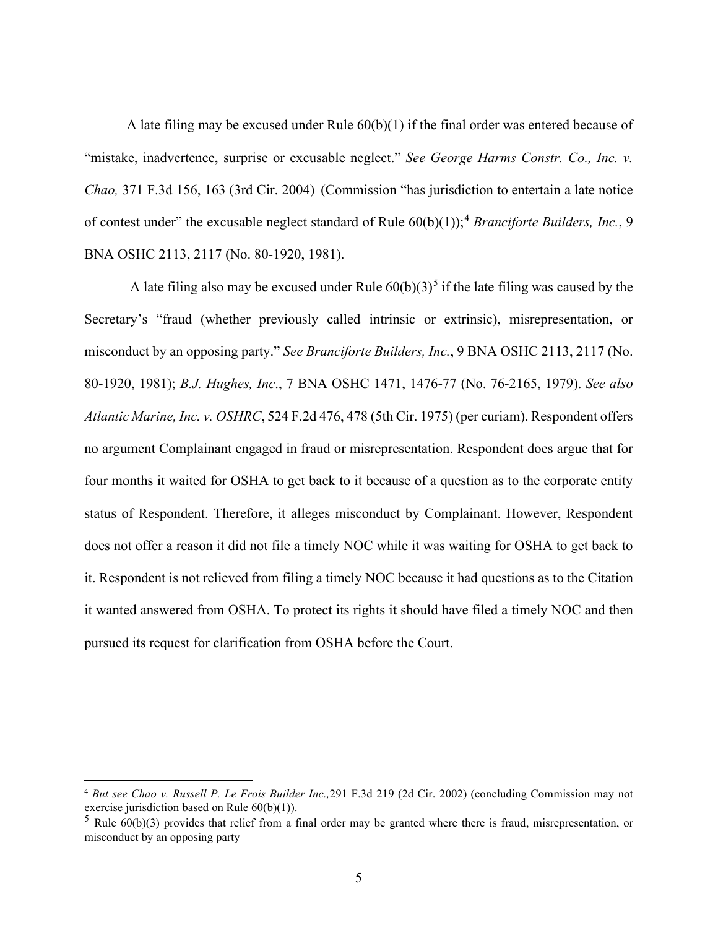A late filing may be excused under Rule 60(b)(1) if the final order was entered because of "mistake, inadvertence, surprise or excusable neglect." *See George Harms Constr. Co., Inc. v. Chao,* 371 F.3d 156, 163 (3rd Cir. 2004) (Commission "has jurisdiction to entertain a late notice of contest under" the excusable neglect standard of Rule 60(b)(1));<sup>4</sup> *Branciforte Builders, Inc.*, 9 BNA OSHC 2113, 2117 (No. 80-1920, 1981).

A late filing also may be excused under Rule  $60(b)(3)^5$  if the late filing was caused by the Secretary's "fraud (whether previously called intrinsic or extrinsic), misrepresentation, or misconduct by an opposing party." *See Branciforte Builders, Inc.*, 9 BNA OSHC 2113, 2117 (No. 80-1920, 1981); *B.J. Hughes, Inc*., 7 BNA OSHC 1471, 1476-77 (No. 76-2165, 1979). *See also Atlantic Marine, Inc. v. OSHRC*, 524 F.2d 476, 478 (5th Cir. 1975) (per curiam). Respondent offers no argument Complainant engaged in fraud or misrepresentation. Respondent does argue that for four months it waited for OSHA to get back to it because of a question as to the corporate entity status of Respondent. Therefore, it alleges misconduct by Complainant. However, Respondent does not offer a reason it did not file a timely NOC while it was waiting for OSHA to get back to it. Respondent is not relieved from filing a timely NOC because it had questions as to the Citation it wanted answered from OSHA. To protect its rights it should have filed a timely NOC and then pursued its request for clarification from OSHA before the Court.

<sup>4</sup> *But see Chao v. Russell P. Le Frois Builder Inc.,*291 F.3d 219 (2d Cir. 2002) (concluding Commission may not exercise jurisdiction based on Rule 60(b)(1)).

 $5$  Rule 60(b)(3) provides that relief from a final order may be granted where there is fraud, misrepresentation, or misconduct by an opposing party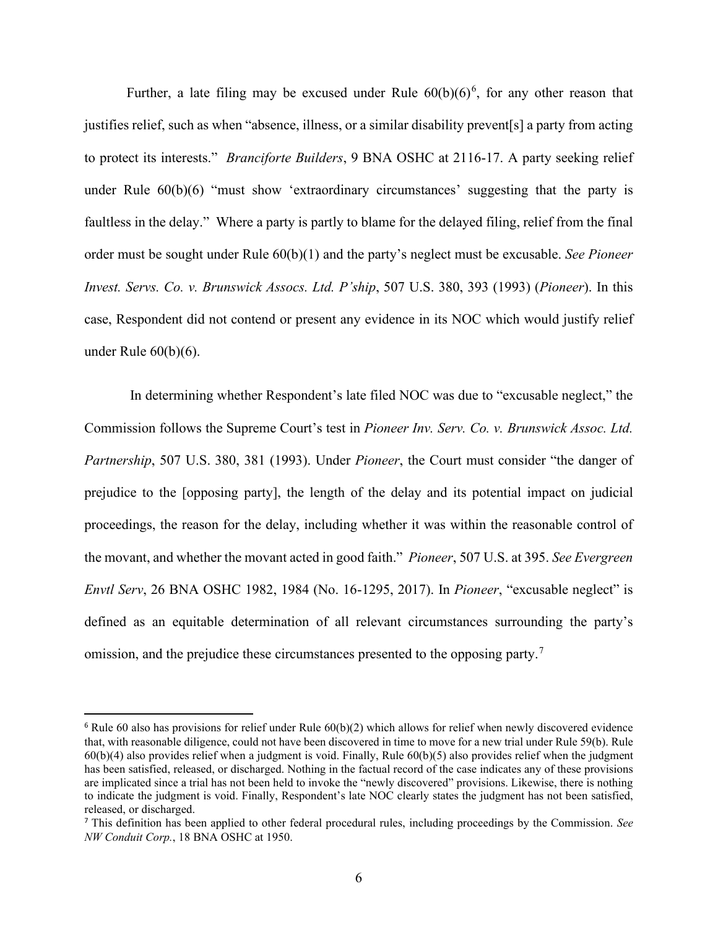Further, a late filing may be excused under Rule  $60(b)(6)^6$ , for any other reason that justifies relief, such as when "absence, illness, or a similar disability prevent[s] a party from acting to protect its interests." *Branciforte Builders*, 9 BNA OSHC at 2116-17. A party seeking relief under Rule 60(b)(6) "must show 'extraordinary circumstances' suggesting that the party is faultless in the delay." Where a party is partly to blame for the delayed filing, relief from the final order must be sought under Rule 60(b)(1) and the party's neglect must be excusable. *See Pioneer Invest. Servs. Co. v. Brunswick Assocs. Ltd. P'ship*, 507 U.S. 380, 393 (1993) (*Pioneer*). In this case, Respondent did not contend or present any evidence in its NOC which would justify relief under Rule 60(b)(6).

In determining whether Respondent's late filed NOC was due to "excusable neglect," the Commission follows the Supreme Court's test in *Pioneer Inv. Serv. Co. v. Brunswick Assoc. Ltd. Partnership*, 507 U.S. 380, 381 (1993). Under *Pioneer*, the Court must consider "the danger of prejudice to the [opposing party], the length of the delay and its potential impact on judicial proceedings, the reason for the delay, including whether it was within the reasonable control of the movant, and whether the movant acted in good faith." *Pioneer*, 507 U.S. at 395. *See Evergreen Envtl Serv*, 26 BNA OSHC 1982, 1984 (No. 16-1295, 2017). In *Pioneer*, "excusable neglect" is defined as an equitable determination of all relevant circumstances surrounding the party's omission, and the prejudice these circumstances presented to the opposing party.<sup>7</sup>

 $6$  Rule 60 also has provisions for relief under Rule  $60(b)(2)$  which allows for relief when newly discovered evidence that, with reasonable diligence, could not have been discovered in time to move for a new trial under Rule 59(b). Rule 60(b)(4) also provides relief when a judgment is void. Finally, Rule 60(b)(5) also provides relief when the judgment has been satisfied, released, or discharged. Nothing in the factual record of the case indicates any of these provisions are implicated since a trial has not been held to invoke the "newly discovered" provisions. Likewise, there is nothing to indicate the judgment is void. Finally, Respondent's late NOC clearly states the judgment has not been satisfied, released, or discharged.

<sup>7</sup> This definition has been applied to other federal procedural rules, including proceedings by the Commission. *See NW Conduit Corp.*, 18 BNA OSHC at 1950.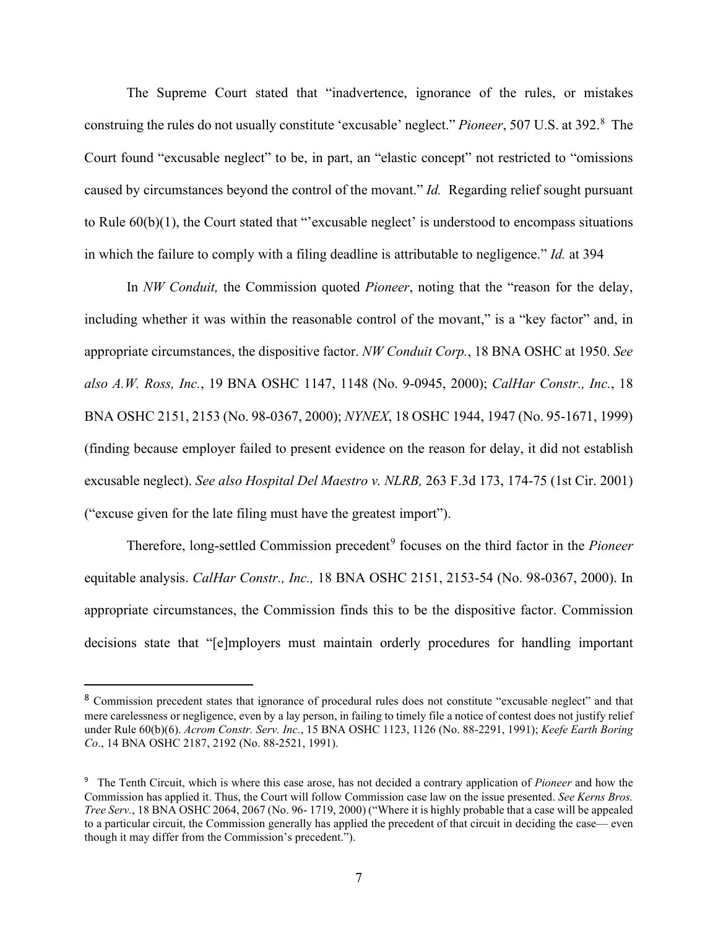The Supreme Court stated that "inadvertence, ignorance of the rules, or mistakes construing the rules do not usually constitute 'excusable' neglect." Pioneer, 507 U.S. at 392.<sup>8</sup> The Court found "excusable neglect" to be, in part, an "elastic concept" not restricted to "omissions caused by circumstances beyond the control of the movant." *Id.* Regarding relief sought pursuant to Rule 60(b)(1), the Court stated that "'excusable neglect' is understood to encompass situations in which the failure to comply with a filing deadline is attributable to negligence." *Id.* at 394

In *NW Conduit,* the Commission quoted *Pioneer*, noting that the "reason for the delay, including whether it was within the reasonable control of the movant," is a "key factor" and, in appropriate circumstances, the dispositive factor. *NW Conduit Corp.*, 18 BNA OSHC at 1950. *See also A.W. Ross, Inc.*, 19 BNA OSHC 1147, 1148 (No. 9-0945, 2000); *CalHar Constr., Inc.*, 18 BNA OSHC 2151, 2153 (No. 98-0367, 2000); *NYNEX*, 18 OSHC 1944, 1947 (No. 95-1671, 1999) (finding because employer failed to present evidence on the reason for delay, it did not establish excusable neglect). *See also Hospital Del Maestro v. NLRB,* 263 F.3d 173, 174-75 (1st Cir. 2001) ("excuse given for the late filing must have the greatest import").

Therefore, long-settled Commission precedent<sup>9</sup> focuses on the third factor in the *Pioneer* equitable analysis. *CalHar Constr., Inc.,* 18 BNA OSHC 2151, 2153-54 (No. 98-0367, 2000). In appropriate circumstances, the Commission finds this to be the dispositive factor. Commission decisions state that "[e]mployers must maintain orderly procedures for handling important

<sup>8</sup> Commission precedent states that ignorance of procedural rules does not constitute "excusable neglect" and that mere carelessness or negligence, even by a lay person, in failing to timely file a notice of contest does not justify relief under Rule 60(b)(6). *Acrom Constr. Serv. Inc.*, 15 BNA OSHC 1123, 1126 (No. 88-2291, 1991); *Keefe Earth Boring Co*., 14 BNA OSHC 2187, 2192 (No. 88-2521, 1991).

<sup>9</sup> The Tenth Circuit, which is where this case arose, has not decided a contrary application of *Pioneer* and how the Commission has applied it. Thus, the Court will follow Commission case law on the issue presented. *See Kerns Bros. Tree Serv.*, 18 BNA OSHC 2064, 2067 (No. 96- 1719, 2000) ("Where it is highly probable that a case will be appealed to a particular circuit, the Commission generally has applied the precedent of that circuit in deciding the case— even though it may differ from the Commission's precedent.").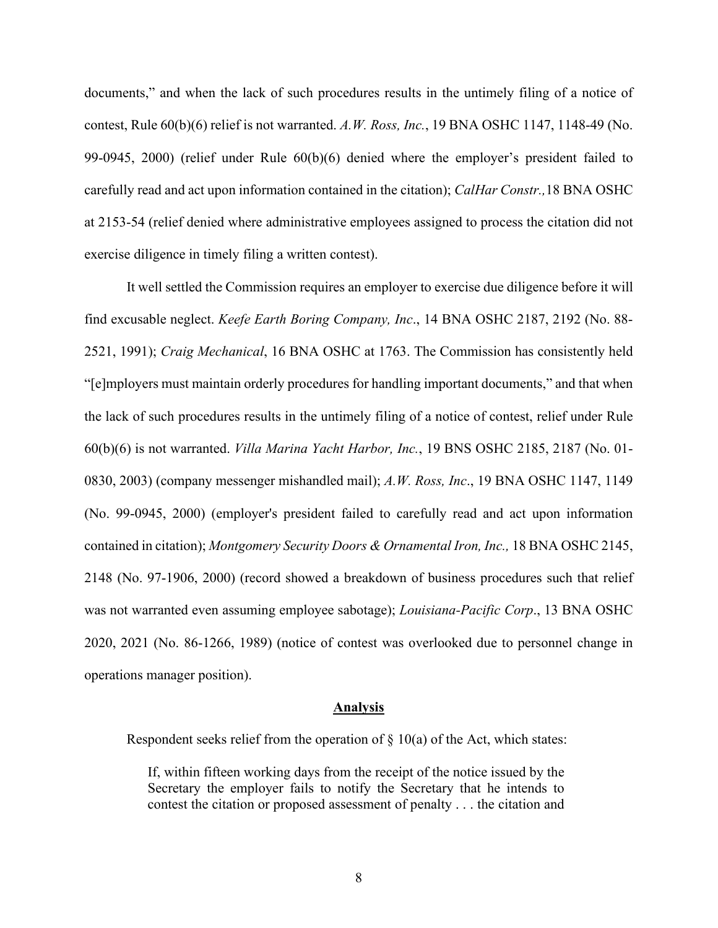documents," and when the lack of such procedures results in the untimely filing of a notice of contest, Rule 60(b)(6) relief is not warranted. *A.W. Ross, Inc.*, 19 BNA OSHC 1147, 1148-49 (No. 99-0945, 2000) (relief under Rule 60(b)(6) denied where the employer's president failed to carefully read and act upon information contained in the citation); *CalHar Constr.,*18 BNA OSHC at 2153-54 (relief denied where administrative employees assigned to process the citation did not exercise diligence in timely filing a written contest).

It well settled the Commission requires an employer to exercise due diligence before it will find excusable neglect. *Keefe Earth Boring Company, Inc*., 14 BNA OSHC 2187, 2192 (No. 88- 2521, 1991); *Craig Mechanical*, 16 BNA OSHC at 1763. The Commission has consistently held "[e]mployers must maintain orderly procedures for handling important documents," and that when the lack of such procedures results in the untimely filing of a notice of contest, relief under Rule 60(b)(6) is not warranted. *Villa Marina Yacht Harbor, Inc.*, 19 BNS OSHC 2185, 2187 (No. 01- 0830, 2003) (company messenger mishandled mail); *A.W. Ross, Inc*., 19 BNA OSHC 1147, 1149 (No. 99-0945, 2000) (employer's president failed to carefully read and act upon information contained in citation); *Montgomery Security Doors & Ornamental Iron, Inc.,* 18 BNA OSHC 2145, 2148 (No. 97-1906, 2000) (record showed a breakdown of business procedures such that relief was not warranted even assuming employee sabotage); *Louisiana-Pacific Corp*., 13 BNA OSHC 2020, 2021 (No. 86-1266, 1989) (notice of contest was overlooked due to personnel change in operations manager position).

#### **Analysis**

Respondent seeks relief from the operation of  $\S$  10(a) of the Act, which states:

If, within fifteen working days from the receipt of the notice issued by the Secretary the employer fails to notify the Secretary that he intends to contest the citation or proposed assessment of penalty . . . the citation and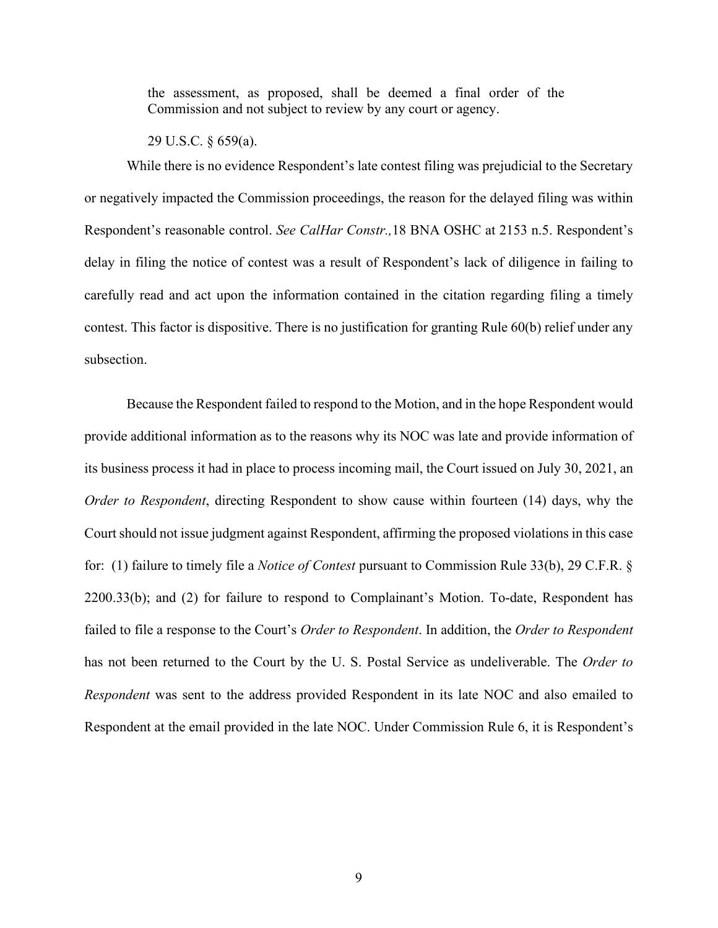the assessment, as proposed, shall be deemed a final order of the Commission and not subject to review by any court or agency.

29 U.S.C. § 659(a).

While there is no evidence Respondent's late contest filing was prejudicial to the Secretary or negatively impacted the Commission proceedings, the reason for the delayed filing was within Respondent's reasonable control. *See CalHar Constr.,*18 BNA OSHC at 2153 n.5. Respondent's delay in filing the notice of contest was a result of Respondent's lack of diligence in failing to carefully read and act upon the information contained in the citation regarding filing a timely contest. This factor is dispositive. There is no justification for granting Rule 60(b) relief under any subsection.

Because the Respondent failed to respond to the Motion, and in the hope Respondent would provide additional information as to the reasons why its NOC was late and provide information of its business process it had in place to process incoming mail, the Court issued on July 30, 2021, an *Order to Respondent*, directing Respondent to show cause within fourteen (14) days, why the Court should not issue judgment against Respondent, affirming the proposed violations in this case for: (1) failure to timely file a *Notice of Contest* pursuant to Commission Rule 33(b), 29 C.F.R. § 2200.33(b); and (2) for failure to respond to Complainant's Motion. To-date, Respondent has failed to file a response to the Court's *Order to Respondent*. In addition, the *Order to Respondent* has not been returned to the Court by the U. S. Postal Service as undeliverable. The *Order to Respondent* was sent to the address provided Respondent in its late NOC and also emailed to Respondent at the email provided in the late NOC. Under Commission Rule 6, it is Respondent's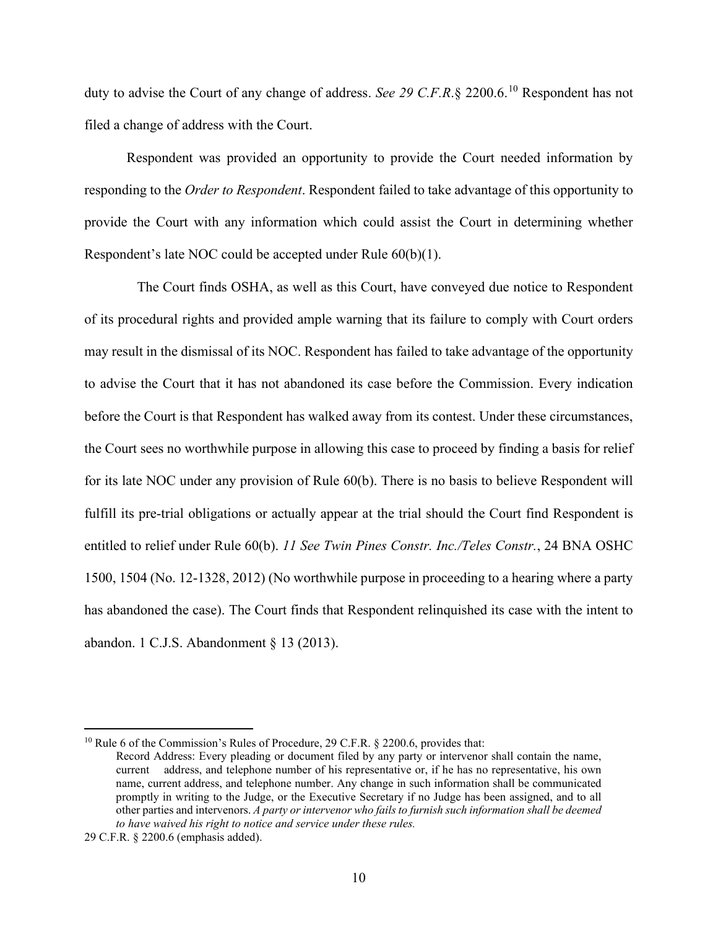duty to advise the Court of any change of address. *See 29 C.F.R*.§ 2200.6.<sup>10</sup> Respondent has not filed a change of address with the Court.

Respondent was provided an opportunity to provide the Court needed information by responding to the *Order to Respondent*. Respondent failed to take advantage of this opportunity to provide the Court with any information which could assist the Court in determining whether Respondent's late NOC could be accepted under Rule 60(b)(1).

 The Court finds OSHA, as well as this Court, have conveyed due notice to Respondent of its procedural rights and provided ample warning that its failure to comply with Court orders may result in the dismissal of its NOC. Respondent has failed to take advantage of the opportunity to advise the Court that it has not abandoned its case before the Commission. Every indication before the Court is that Respondent has walked away from its contest. Under these circumstances, the Court sees no worthwhile purpose in allowing this case to proceed by finding a basis for relief for its late NOC under any provision of Rule 60(b). There is no basis to believe Respondent will fulfill its pre-trial obligations or actually appear at the trial should the Court find Respondent is entitled to relief under Rule 60(b). *11 See Twin Pines Constr. Inc./Teles Constr.*, 24 BNA OSHC 1500, 1504 (No. 12-1328, 2012) (No worthwhile purpose in proceeding to a hearing where a party has abandoned the case). The Court finds that Respondent relinquished its case with the intent to abandon. 1 C.J.S. Abandonment § 13 (2013).

<sup>&</sup>lt;sup>10</sup> Rule 6 of the Commission's Rules of Procedure, 29 C.F.R. § 2200.6, provides that:

Record Address: Every pleading or document filed by any party or intervenor shall contain the name, current address, and telephone number of his representative or, if he has no representative, his own name, current address, and telephone number. Any change in such information shall be communicated promptly in writing to the Judge, or the Executive Secretary if no Judge has been assigned, and to all other parties and intervenors. *A party or intervenor who fails to furnish such information shall be deemed to have waived his right to notice and service under these rules.*

<sup>29</sup> C.F.R. § 2200.6 (emphasis added).